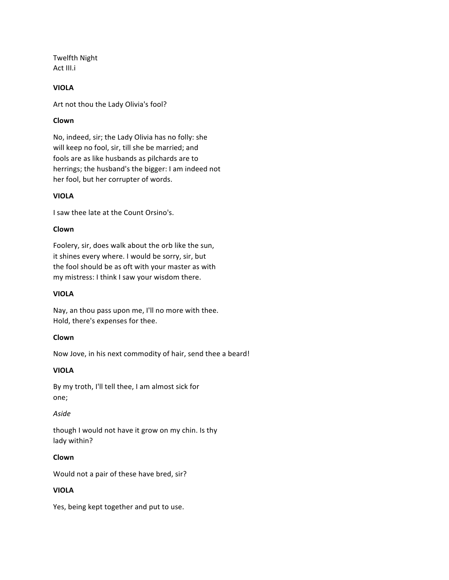**Twelfth Night** Act III.i

## **VIOLA**

Art not thou the Lady Olivia's fool?

## **Clown**

No, indeed, sir; the Lady Olivia has no folly: she will keep no fool, sir, till she be married; and fools are as like husbands as pilchards are to herrings; the husband's the bigger: I am indeed not her fool, but her corrupter of words.

## **VIOLA**

I saw thee late at the Count Orsino's.

## **Clown**

Foolery, sir, does walk about the orb like the sun, it shines every where. I would be sorry, sir, but the fool should be as oft with your master as with my mistress: I think I saw your wisdom there.

#### **VIOLA**

Nay, an thou pass upon me, I'll no more with thee. Hold, there's expenses for thee.

#### **Clown**

Now Jove, in his next commodity of hair, send thee a beard!

## **VIOLA**

By my troth, I'll tell thee, I am almost sick for one;

#### *Aside*

though I would not have it grow on my chin. Is thy lady within?

#### **Clown**

Would not a pair of these have bred, sir?

## **VIOLA**

Yes, being kept together and put to use.